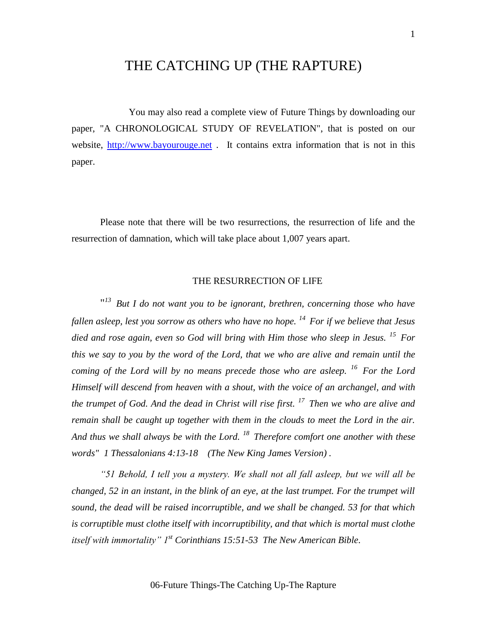# THE CATCHING UP (THE RAPTURE)

You may also read a complete view of Future Things by downloading our paper, "A CHRONOLOGICAL STUDY OF REVELATION", that is posted on our website, [http://www.bayourouge.net](http://www.bayourouge.net/). It contains extra information that is not in this paper.

Please note that there will be two resurrections, the resurrection of life and the resurrection of damnation, which will take place about 1,007 years apart.

## THE RESURRECTION OF LIFE

" *<sup>13</sup>But I do not want you to be ignorant, brethren, concerning those who have fallen asleep, lest you sorrow as others who have no hope. <sup>14</sup>For if we believe that Jesus died and rose again, even so God will bring with Him those who sleep in Jesus. <sup>15</sup>For this we say to you by the word of the Lord, that we who are alive and remain until the coming of the Lord will by no means precede those who are asleep. <sup>16</sup>For the Lord Himself will descend from heaven with a shout, with the voice of an archangel, and with the trumpet of God. And the dead in Christ will rise first. <sup>17</sup>Then we who are alive and remain shall be caught up together with them in the clouds to meet the Lord in the air. And thus we shall always be with the Lord. <sup>18</sup>Therefore comfort one another with these words" 1 Thessalonians 4:13-18 (The New King James Version) .*

*"51 Behold, I tell you a mystery. We shall not all fall asleep, but we will all be changed, 52 in an instant, in the blink of an eye, at the last trumpet. For the trumpet will sound, the dead will be raised incorruptible, and we shall be changed. 53 for that which is corruptible must clothe itself with incorruptibility, and that which is mortal must clothe itself with immortality" 1st Corinthians 15:51-53 The New American Bible.*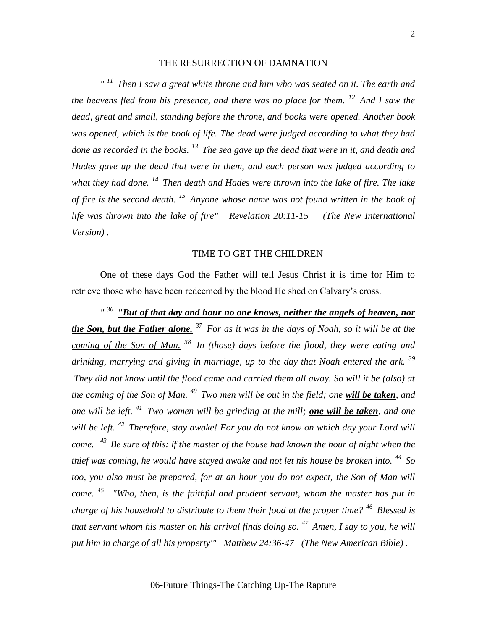#### THE RESURRECTION OF DAMNATION

*" <sup>11</sup>Then I saw a great white throne and him who was seated on it. The earth and the heavens fled from his presence, and there was no place for them. <sup>12</sup>And I saw the dead, great and small, standing before the throne, and books were opened. Another book was opened, which is the book of life. The dead were judged according to what they had done as recorded in the books. <sup>13</sup>The sea gave up the dead that were in it, and death and Hades gave up the dead that were in them, and each person was judged according to what they had done. <sup>14</sup>Then death and Hades were thrown into the lake of fire. The lake of fire is the second death. <sup>15</sup>Anyone whose name was not found written in the book of life was thrown into the lake of fire" Revelation 20:11-15 (The New International Version) .*

#### TIME TO GET THE CHILDREN

One of these days God the Father will tell Jesus Christ it is time for Him to retrieve those who have been redeemed by the blood He shed on Calvary's cross.

<sup>"36</sup> **"But of that day and hour no one knows, neither the angels of heaven, nor** *the Son, but the Father alone. <sup>37</sup>For as it was in the days of Noah, so it will be at the coming of the Son of Man. <sup>38</sup>In (those) days before the flood, they were eating and drinking, marrying and giving in marriage, up to the day that Noah entered the ark. <sup>39</sup> They did not know until the flood came and carried them all away. So will it be (also) at the coming of the Son of Man. <sup>40</sup>Two men will be out in the field; one will be taken, and one will be left. <sup>41</sup>Two women will be grinding at the mill; one will be taken, and one will be left. <sup>42</sup>Therefore, stay awake! For you do not know on which day your Lord will come. <sup>43</sup>Be sure of this: if the master of the house had known the hour of night when the thief was coming, he would have stayed awake and not let his house be broken into. <sup>44</sup>So*  too, you also must be prepared, for at an hour you do not expect, the Son of Man will *come. <sup>45</sup>"Who, then, is the faithful and prudent servant, whom the master has put in charge of his household to distribute to them their food at the proper time? <sup>46</sup>Blessed is that servant whom his master on his arrival finds doing so. <sup>47</sup>Amen, I say to you, he will put him in charge of all his property'" Matthew 24:36-47 (The New American Bible) .*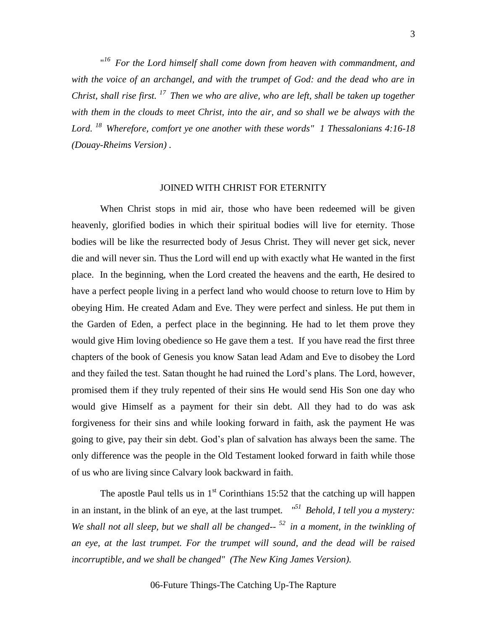" *<sup>16</sup>For the Lord himself shall come down from heaven with commandment, and with the voice of an archangel, and with the trumpet of God: and the dead who are in Christ, shall rise first. <sup>17</sup>Then we who are alive, who are left, shall be taken up together with them in the clouds to meet Christ, into the air, and so shall we be always with the Lord. <sup>18</sup>Wherefore, comfort ye one another with these words" 1 Thessalonians 4:16-18 (Douay-Rheims Version) .*

### JOINED WITH CHRIST FOR ETERNITY

When Christ stops in mid air, those who have been redeemed will be given heavenly, glorified bodies in which their spiritual bodies will live for eternity. Those bodies will be like the resurrected body of Jesus Christ. They will never get sick, never die and will never sin. Thus the Lord will end up with exactly what He wanted in the first place. In the beginning, when the Lord created the heavens and the earth, He desired to have a perfect people living in a perfect land who would choose to return love to Him by obeying Him. He created Adam and Eve. They were perfect and sinless. He put them in the Garden of Eden, a perfect place in the beginning. He had to let them prove they would give Him loving obedience so He gave them a test. If you have read the first three chapters of the book of Genesis you know Satan lead Adam and Eve to disobey the Lord and they failed the test. Satan thought he had ruined the Lord's plans. The Lord, however, promised them if they truly repented of their sins He would send His Son one day who would give Himself as a payment for their sin debt. All they had to do was ask forgiveness for their sins and while looking forward in faith, ask the payment He was going to give, pay their sin debt. God's plan of salvation has always been the same. The only difference was the people in the Old Testament looked forward in faith while those of us who are living since Calvary look backward in faith.

The apostle Paul tells us in  $1<sup>st</sup>$  Corinthians 15:52 that the catching up will happen in an instant, in the blink of an eye, at the last trumpet*. "<sup>51</sup>Behold, I tell you a mystery: We shall not all sleep, but we shall all be changed-- <sup>52</sup>in a moment, in the twinkling of an eye, at the last trumpet. For the trumpet will sound, and the dead will be raised incorruptible, and we shall be changed" (The New King James Version).*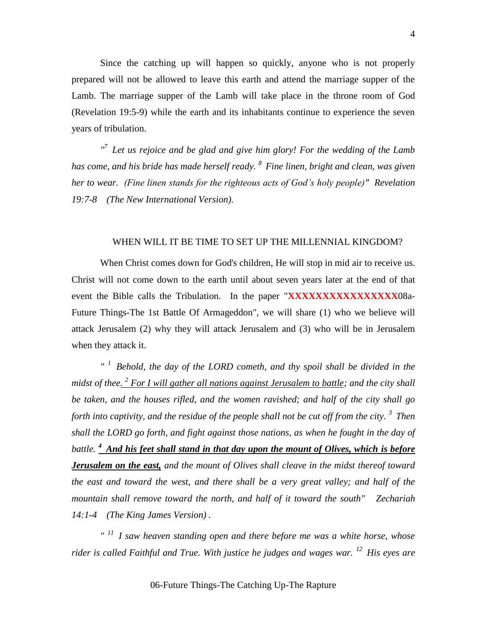Since the catching up will happen so quickly, anyone who is not properly prepared will not be allowed to leave this earth and attend the marriage supper of the Lamb. The marriage supper of the Lamb will take place in the throne room of God (Revelation 19:5-9) while the earth and its inhabitants continue to experience the seven years of tribulation.

<sup>*n*</sup> Let us rejoice and be glad and give him glory! For the wedding of the Lamb *has come, and his bride has made herself ready. <sup>8</sup>Fine linen, bright and clean, was given her to wear. (Fine linen stands for the righteous acts of God's holy people)" Revelation 19:7-8 (The New International Version).*

#### WHEN WILL IT BE TIME TO SET UP THE MILLENNIAL KINGDOM?

When Christ comes down for God's children, He will stop in mid air to receive us. Christ will not come down to the earth until about seven years later at the end of that event the Bible calls the Tribulation. In the paper "**XXXXXXXXXXXXXXXX**08a-Future Things-The 1st Battle Of Armageddon", we will share (1) who we believe will attack Jerusalem (2) why they will attack Jerusalem and (3) who will be in Jerusalem when they attack it.

*" <sup>1</sup>Behold, the day of the LORD cometh, and thy spoil shall be divided in the*  midst of thee<u>. <sup>2</sup> For I will gather all nations against Jerusalem to battle</u>; and the city shall *be taken, and the houses rifled, and the women ravished; and half of the city shall go forth into captivity, and the residue of the people shall not be cut off from the city. <sup>3</sup>Then shall the LORD go forth, and fight against those nations, as when he fought in the day of battle. <sup>4</sup>And his feet shall stand in that day upon the mount of Olives, which is before Jerusalem on the east, and the mount of Olives shall cleave in the midst thereof toward the east and toward the west, and there shall be a very great valley; and half of the mountain shall remove toward the north, and half of it toward the south" Zechariah 14:1-4 (The King James Version) .*

*" <sup>11</sup>I saw heaven standing open and there before me was a white horse, whose rider is called Faithful and True. With justice he judges and wages war. <sup>12</sup>His eyes are* 

06-Future Things-The Catching Up-The Rapture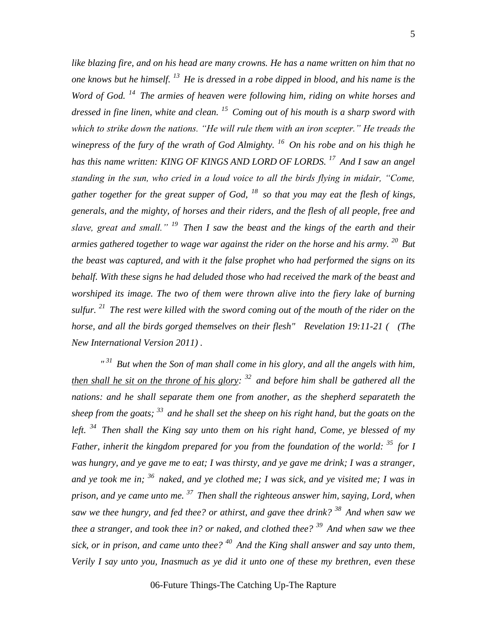*like blazing fire, and on his head are many crowns. He has a name written on him that no one knows but he himself. <sup>13</sup>He is dressed in a robe dipped in blood, and his name is the Word of God. <sup>14</sup>The armies of heaven were following him, riding on white horses and dressed in fine linen, white and clean. <sup>15</sup>Coming out of his mouth is a sharp sword with which to strike down the nations. "He will rule them with an iron scepter." He treads the winepress of the fury of the wrath of God Almighty. <sup>16</sup>On his robe and on his thigh he has this name written: KING OF KINGS AND LORD OF LORDS. <sup>17</sup>And I saw an angel standing in the sun, who cried in a loud voice to all the birds flying in midair, "Come, gather together for the great supper of God, <sup>18</sup>so that you may eat the flesh of kings, generals, and the mighty, of horses and their riders, and the flesh of all people, free and slave, great and small." <sup>19</sup>Then I saw the beast and the kings of the earth and their armies gathered together to wage war against the rider on the horse and his army. <sup>20</sup>But the beast was captured, and with it the false prophet who had performed the signs on its behalf. With these signs he had deluded those who had received the mark of the beast and worshiped its image. The two of them were thrown alive into the fiery lake of burning sulfur. <sup>21</sup>The rest were killed with the sword coming out of the mouth of the rider on the horse, and all the birds gorged themselves on their flesh" Revelation 19:11-21 ( (The New International Version 2011) .*

*" <sup>31</sup>But when the Son of man shall come in his glory, and all the angels with him, then shall he sit on the throne of his glory: <sup>32</sup>and before him shall be gathered all the*  nations: and he shall separate them one from another, as the shepherd separateth the *sheep from the goats; <sup>33</sup>and he shall set the sheep on his right hand, but the goats on the left. <sup>34</sup>Then shall the King say unto them on his right hand, Come, ye blessed of my Father, inherit the kingdom prepared for you from the foundation of the world: <sup>35</sup>for I was hungry, and ye gave me to eat; I was thirsty, and ye gave me drink; I was a stranger, and ye took me in; <sup>36</sup>naked, and ye clothed me; I was sick, and ye visited me; I was in prison, and ye came unto me. <sup>37</sup>Then shall the righteous answer him, saying, Lord, when saw we thee hungry, and fed thee? or athirst, and gave thee drink? <sup>38</sup>And when saw we thee a stranger, and took thee in? or naked, and clothed thee? <sup>39</sup>And when saw we thee sick, or in prison, and came unto thee? <sup>40</sup>And the King shall answer and say unto them, Verily I say unto you, Inasmuch as ye did it unto one of these my brethren, even these*